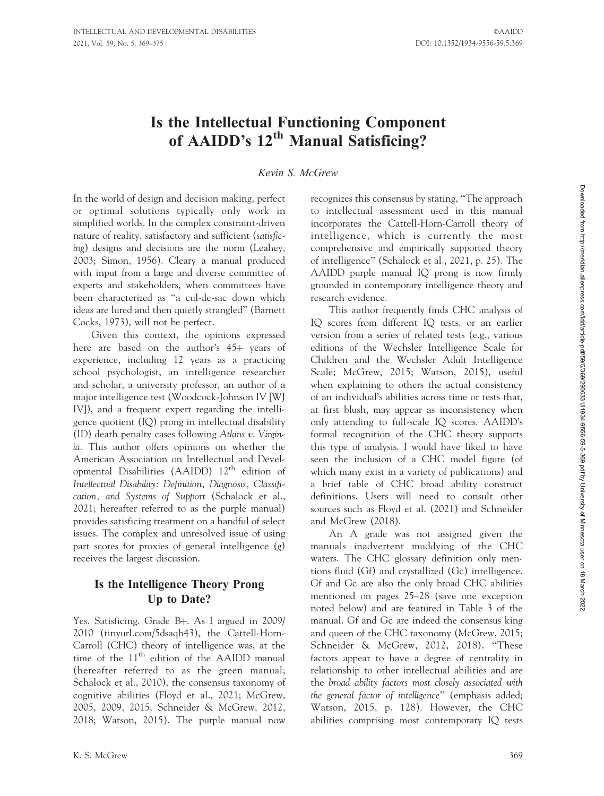# Is the Intellectual Functioning Component of AAIDD's 12<sup>th</sup> Manual Satisficing?

### Kevin S. McGrew

In the world of design and decision making, perfect or optimal solutions typically only work in simplified worlds. In the complex constraint-driven nature of reality, satisfactory and sufficient (satisficing) designs and decisions are the norm (Leahey, 2003; Simon, 1956). Cleary a manual produced with input from a large and diverse committee of experts and stakeholders, when committees have been characterized as ''a cul-de-sac down which ideas are lured and then quietly strangled'' (Barnett Cocks, 1973), will not be perfect.

Given this context, the opinions expressed here are based on the author's  $45+$  years of experience, including 12 years as a practicing school psychologist, an intelligence researcher and scholar, a university professor, an author of a major intelligence test (Woodcock-Johnson IV [WJ IV]), and a frequent expert regarding the intelligence quotient (IQ) prong in intellectual disability (ID) death penalty cases following Atkins v. Virginia. This author offers opinions on whether the American Association on Intellectual and Developmental Disabilities (AAIDD) 12th edition of Intellectual Disability: Definition, Diagnosis, Classification, and Systems of Support (Schalock et al., 2021; hereafter referred to as the purple manual) provides satisficing treatment on a handful of select issues. The complex and unresolved issue of using part scores for proxies of general intelligence (g) receives the largest discussion.

### Is the Intelligence Theory Prong Up to Date?

Yes. Satisficing. Grade B+. As I argued in 2009/ 2010 (tinyurl.com/5dsaqh43), the Cattell-Horn-Carroll (CHC) theory of intelligence was, at the time of the 11<sup>th</sup> edition of the AAIDD manual (hereafter referred to as the green manual; Schalock et al., 2010), the consensus taxonomy of cognitive abilities (Floyd et al., 2021; McGrew, 2005, 2009, 2015; Schneider & McGrew, 2012, 2018; Watson, 2015). The purple manual now

recognizes this consensus by stating, ''The approach to intellectual assessment used in this manual incorporates the Cattell-Horn-Carroll theory of intelligence, which is currently the most comprehensive and empirically supported theory of intelligence'' (Schalock et al., 2021, p. 25). The AAIDD purple manual IQ prong is now firmly grounded in contemporary intelligence theory and research evidence.

This author frequently finds CHC analysis of IQ scores from different IQ tests, or an earlier version from a series of related tests (e.g., various editions of the Wechsler Intelligence Scale for Children and the Wechsler Adult Intelligence Scale; McGrew, 2015; Watson, 2015), useful when explaining to others the actual consistency of an individual's abilities across time or tests that, at first blush, may appear as inconsistency when only attending to full-scale IQ scores. AAIDD's formal recognition of the CHC theory supports this type of analysis. I would have liked to have seen the inclusion of a CHC model figure (of which many exist in a variety of publications) and a brief table of CHC broad ability construct definitions. Users will need to consult other sources such as Floyd et al. (2021) and Schneider and McGrew (2018).

An A grade was not assigned given the manuals inadvertent muddying of the CHC waters. The CHC glossary definition only mentions fluid (Gf) and crystallized (Gc) intelligence. Gf and Gc are also the only broad CHC abilities mentioned on pages 25–28 (save one exception noted below) and are featured in Table 3 of the manual. Gf and Gc are indeed the consensus king and queen of the CHC taxonomy (McGrew, 2015; Schneider & McGrew, 2012, 2018). "These factors appear to have a degree of centrality in relationship to other intellectual abilities and are the broad ability factors most closely associated with the general factor of intelligence'' (emphasis added; Watson, 2015, p. 128). However, the CHC abilities comprising most contemporary IQ tests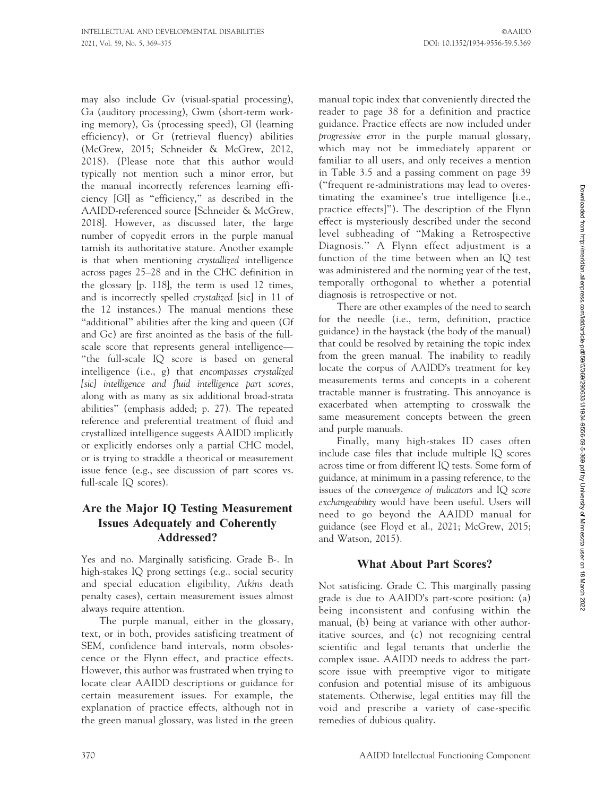may also include Gv (visual-spatial processing), Ga (auditory processing), Gwm (short-term working memory), Gs (processing speed), Gl (learning efficiency), or Gr (retrieval fluency) abilities (McGrew, 2015; Schneider & McGrew, 2012, 2018). (Please note that this author would typically not mention such a minor error, but the manual incorrectly references learning efficiency [Gl] as ''efficiency,'' as described in the AAIDD-referenced source [Schneider & McGrew, 2018]. However, as discussed later, the large number of copyedit errors in the purple manual tarnish its authoritative stature. Another example is that when mentioning crystallized intelligence across pages 25–28 and in the CHC definition in the glossary [p. 118], the term is used 12 times, and is incorrectly spelled crystalized [sic] in 11 of the 12 instances.) The manual mentions these "additional" abilities after the king and queen (Gf and Gc) are first anointed as the basis of the fullscale score that represents general intelligence— ''the full-scale IQ score is based on general intelligence (i.e., g) that encompasses crystalized [sic] intelligence and fluid intelligence part scores, along with as many as six additional broad-strata abilities'' (emphasis added; p. 27). The repeated reference and preferential treatment of fluid and crystallized intelligence suggests AAIDD implicitly or explicitly endorses only a partial CHC model, or is trying to straddle a theorical or measurement issue fence (e.g., see discussion of part scores vs. full-scale IQ scores).

### Are the Major IQ Testing Measurement Issues Adequately and Coherently Addressed?

Yes and no. Marginally satisficing. Grade B-. In high-stakes IQ prong settings (e.g., social security and special education eligibility, Atkins death penalty cases), certain measurement issues almost always require attention.

The purple manual, either in the glossary, text, or in both, provides satisficing treatment of SEM, confidence band intervals, norm obsolescence or the Flynn effect, and practice effects. However, this author was frustrated when trying to locate clear AAIDD descriptions or guidance for certain measurement issues. For example, the explanation of practice effects, although not in the green manual glossary, was listed in the green

manual topic index that conveniently directed the reader to page 38 for a definition and practice guidance. Practice effects are now included under progressive error in the purple manual glossary, which may not be immediately apparent or familiar to all users, and only receives a mention in Table 3.5 and a passing comment on page 39 (''frequent re-administrations may lead to overestimating the examinee's true intelligence [i.e., practice effects]''). The description of the Flynn effect is mysteriously described under the second level subheading of ''Making a Retrospective Diagnosis.'' A Flynn effect adjustment is a function of the time between when an IQ test was administered and the norming year of the test, temporally orthogonal to whether a potential diagnosis is retrospective or not.

There are other examples of the need to search for the needle (i.e., term, definition, practice guidance) in the haystack (the body of the manual) that could be resolved by retaining the topic index from the green manual. The inability to readily locate the corpus of AAIDD's treatment for key measurements terms and concepts in a coherent tractable manner is frustrating. This annoyance is exacerbated when attempting to crosswalk the same measurement concepts between the green and purple manuals.

Finally, many high-stakes ID cases often include case files that include multiple IQ scores across time or from different IQ tests. Some form of guidance, at minimum in a passing reference, to the issues of the convergence of indicators and IQ score exchangeability would have been useful. Users will need to go beyond the AAIDD manual for guidance (see Floyd et al., 2021; McGrew, 2015; and Watson, 2015).

#### What About Part Scores?

Not satisficing. Grade C. This marginally passing grade is due to AAIDD's part-score position: (a) being inconsistent and confusing within the manual, (b) being at variance with other authoritative sources, and (c) not recognizing central scientific and legal tenants that underlie the complex issue. AAIDD needs to address the partscore issue with preemptive vigor to mitigate confusion and potential misuse of its ambiguous statements. Otherwise, legal entities may fill the void and prescribe a variety of case-specific remedies of dubious quality.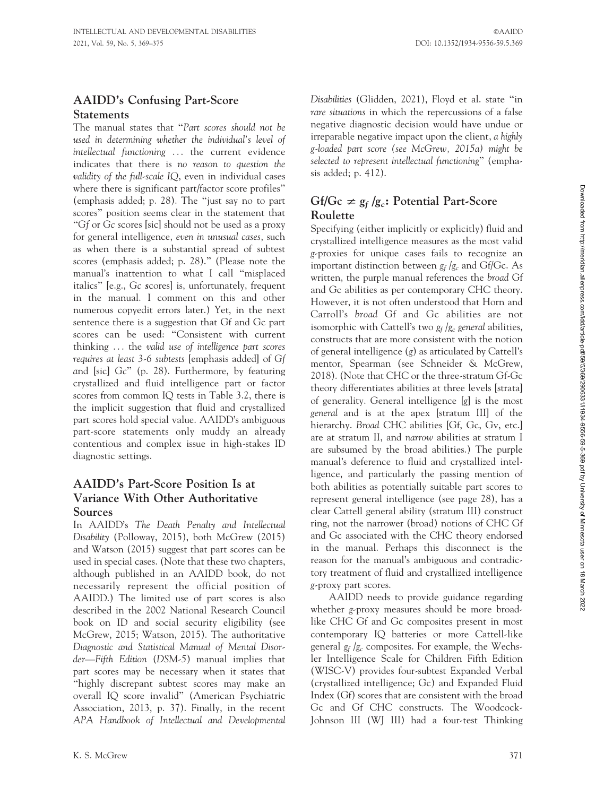### AAIDD's Confusing Part-Score **Statements**

The manual states that ''Part scores should not be used in determining whether the individual's level of intellectual functioning ... the current evidence indicates that there is no reason to question the validity of the full-scale IQ, even in individual cases where there is significant part/factor score profiles'' (emphasis added; p. 28). The ''just say no to part scores'' position seems clear in the statement that ''Gf or Gc scores [sic] should not be used as a proxy for general intelligence, even in unusual cases, such as when there is a substantial spread of subtest scores (emphasis added; p. 28).'' (Please note the manual's inattention to what I call ''misplaced italics'' [e.g., Gc scores] is, unfortunately, frequent in the manual. I comment on this and other numerous copyedit errors later.) Yet, in the next sentence there is a suggestion that Gf and Gc part scores can be used: ''Consistent with current thinking . . . the valid use of intelligence part scores requires at least 3-6 subtests [emphasis added] of Gf and [sic] Gc'' (p. 28). Furthermore, by featuring crystallized and fluid intelligence part or factor scores from common IQ tests in Table 3.2, there is the implicit suggestion that fluid and crystallized part scores hold special value. AAIDD's ambiguous part-score statements only muddy an already contentious and complex issue in high-stakes ID diagnostic settings.

### AAIDD's Part-Score Position Is at Variance With Other Authoritative Sources

In AAIDD's The Death Penalty and Intellectual Disability (Polloway, 2015), both McGrew (2015) and Watson (2015) suggest that part scores can be used in special cases. (Note that these two chapters, although published in an AAIDD book, do not necessarily represent the official position of AAIDD.) The limited use of part scores is also described in the 2002 National Research Council book on ID and social security eligibility (see McGrew, 2015; Watson, 2015). The authoritative Diagnostic and Statistical Manual of Mental Disorder—Fifth Edition (DSM-5) manual implies that part scores may be necessary when it states that ''highly discrepant subtest scores may make an overall IQ score invalid'' (American Psychiatric Association, 2013, p. 37). Finally, in the recent APA Handbook of Intellectual and Developmental Disabilities (Glidden, 2021), Floyd et al. state ''in rare situations in which the repercussions of a false negative diagnostic decision would have undue or irreparable negative impact upon the client, a highly g-loaded part score (see McGrew, 2015a) might be selected to represent intellectual functioning'' (emphasis added; p. 412).

# Gf/Gc  $\neq$   $g_f$  /g<sub>c</sub>: Potential Part-Score Roulette

Specifying (either implicitly or explicitly) fluid and crystallized intelligence measures as the most valid g-proxies for unique cases fails to recognize an important distinction between  $g_f/g_c$  and Gf/Gc. As written, the purple manual references the broad Gf and Gc abilities as per contemporary CHC theory. However, it is not often understood that Horn and Carroll's broad Gf and Gc abilities are not isomorphic with Cattell's two  $g_f/g_c$  general abilities, constructs that are more consistent with the notion of general intelligence (g) as articulated by Cattell's mentor, Spearman (see Schneider & McGrew, 2018). (Note that CHC or the three-stratum Gf-Gc theory differentiates abilities at three levels [strata] of generality. General intelligence [g] is the most general and is at the apex [stratum III] of the hierarchy. Broad CHC abilities [Gf, Gc, Gv, etc.] are at stratum II, and narrow abilities at stratum I are subsumed by the broad abilities.) The purple manual's deference to fluid and crystallized intelligence, and particularly the passing mention of both abilities as potentially suitable part scores to represent general intelligence (see page 28), has a clear Cattell general ability (stratum III) construct ring, not the narrower (broad) notions of CHC Gf and Gc associated with the CHC theory endorsed in the manual. Perhaps this disconnect is the reason for the manual's ambiguous and contradictory treatment of fluid and crystallized intelligence g-proxy part scores.

AAIDD needs to provide guidance regarding whether g-proxy measures should be more broadlike CHC Gf and Gc composites present in most contemporary IQ batteries or more Cattell-like general  $g_f/g_c$  composites. For example, the Wechsler Intelligence Scale for Children Fifth Edition (WISC-V) provides four-subtest Expanded Verbal (crystallized intelligence; Gc) and Expanded Fluid Index (Gf) scores that are consistent with the broad Gc and Gf CHC constructs. The Woodcock-Johnson III (WJ III) had a four-test Thinking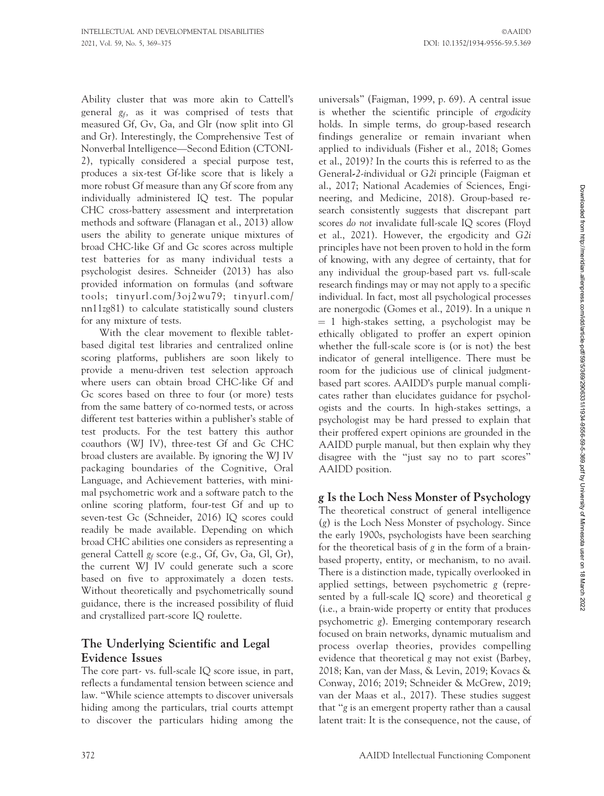Ability cluster that was more akin to Cattell's general  $g_f$ , as it was comprised of tests that measured Gf, Gv, Ga, and Glr (now split into Gl and Gr). Interestingly, the Comprehensive Test of Nonverbal Intelligence—Second Edition (CTONI-2), typically considered a special purpose test, produces a six-test Gf-like score that is likely a more robust Gf measure than any Gf score from any individually administered IQ test. The popular CHC cross-battery assessment and interpretation methods and software (Flanagan et al., 2013) allow users the ability to generate unique mixtures of broad CHC-like Gf and Gc scores across multiple test batteries for as many individual tests a psychologist desires. Schneider (2013) has also provided information on formulas (and software tools; tinyurl.com/3oj2wu79; tinyurl.com/ nn11zg81) to calculate statistically sound clusters for any mixture of tests.

With the clear movement to flexible tabletbased digital test libraries and centralized online scoring platforms, publishers are soon likely to provide a menu-driven test selection approach where users can obtain broad CHC-like Gf and Gc scores based on three to four (or more) tests from the same battery of co-normed tests, or across different test batteries within a publisher's stable of test products. For the test battery this author coauthors (WJ IV), three-test Gf and Gc CHC broad clusters are available. By ignoring the WJ IV packaging boundaries of the Cognitive, Oral Language, and Achievement batteries, with minimal psychometric work and a software patch to the online scoring platform, four-test Gf and up to seven-test Gc (Schneider, 2016) IQ scores could readily be made available. Depending on which broad CHC abilities one considers as representing a general Cattell  $g_f$  score (e.g., Gf, Gv, Ga, Gl, Gr), the current WJ IV could generate such a score based on five to approximately a dozen tests. Without theoretically and psychometrically sound guidance, there is the increased possibility of fluid and crystallized part-score IQ roulette.

## The Underlying Scientific and Legal Evidence Issues

The core part- vs. full-scale IQ score issue, in part, reflects a fundamental tension between science and law. ''While science attempts to discover universals hiding among the particulars, trial courts attempt to discover the particulars hiding among the universals'' (Faigman, 1999, p. 69). A central issue is whether the scientific principle of ergodicity holds. In simple terms, do group-based research findings generalize or remain invariant when applied to individuals (Fisher et al., 2018; Gomes et al., 2019)? In the courts this is referred to as the General-2-individual or G2i principle (Faigman et al., 2017; National Academies of Sciences, Engineering, and Medicine, 2018). Group-based research consistently suggests that discrepant part scores do not invalidate full-scale IQ scores (Floyd et al., 2021). However, the ergodicity and G2i principles have not been proven to hold in the form of knowing, with any degree of certainty, that for any individual the group-based part vs. full-scale research findings may or may not apply to a specific individual. In fact, most all psychological processes are nonergodic (Gomes et al., 2019). In a unique n  $= 1$  high-stakes setting, a psychologist may be ethically obligated to proffer an expert opinion whether the full-scale score is (or is not) the best indicator of general intelligence. There must be room for the judicious use of clinical judgmentbased part scores. AAIDD's purple manual complicates rather than elucidates guidance for psychologists and the courts. In high-stakes settings, a psychologist may be hard pressed to explain that their proffered expert opinions are grounded in the AAIDD purple manual, but then explain why they disagree with the ''just say no to part scores'' AAIDD position.

### g Is the Loch Ness Monster of Psychology

The theoretical construct of general intelligence (g) is the Loch Ness Monster of psychology. Since the early 1900s, psychologists have been searching for the theoretical basis of g in the form of a brainbased property, entity, or mechanism, to no avail. There is a distinction made, typically overlooked in applied settings, between psychometric g (represented by a full-scale IQ score) and theoretical g (i.e., a brain-wide property or entity that produces psychometric g). Emerging contemporary research focused on brain networks, dynamic mutualism and process overlap theories, provides compelling evidence that theoretical g may not exist (Barbey, 2018; Kan, van der Mass, & Levin, 2019; Kovacs & Conway, 2016; 2019; Schneider & McGrew, 2019; van der Maas et al., 2017). These studies suggest that ''g is an emergent property rather than a causal latent trait: It is the consequence, not the cause, of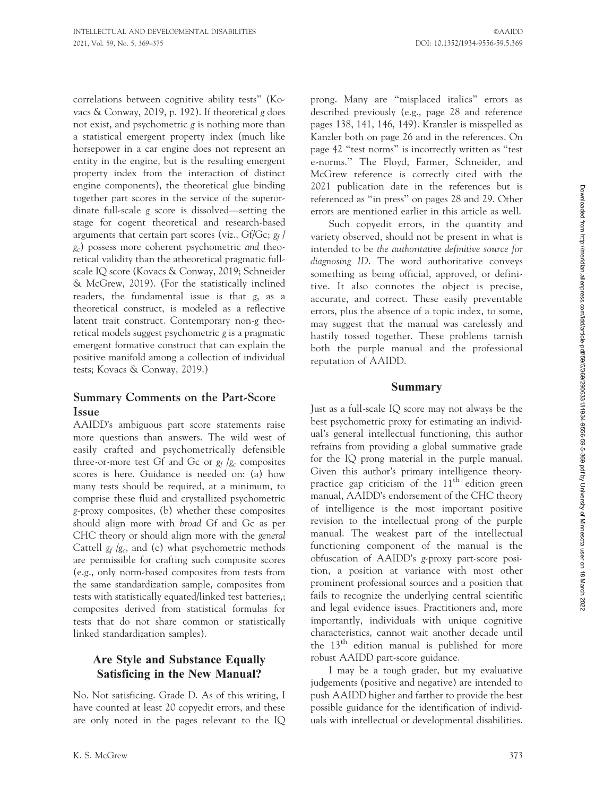correlations between cognitive ability tests'' (Kovacs & Conway, 2019, p. 192). If theoretical g does not exist, and psychometric g is nothing more than a statistical emergent property index (much like horsepower in a car engine does not represent an entity in the engine, but is the resulting emergent property index from the interaction of distinct engine components), the theoretical glue binding together part scores in the service of the superordinate full-scale g score is dissolved—setting the stage for cogent theoretical and research-based arguments that certain part scores (viz.,  $Gf/Gc; g_f/$ gc) possess more coherent psychometric and theoretical validity than the atheoretical pragmatic fullscale IQ score (Kovacs & Conway, 2019; Schneider & McGrew, 2019). (For the statistically inclined readers, the fundamental issue is that g, as a theoretical construct, is modeled as a reflective latent trait construct. Contemporary non-g theoretical models suggest psychometric g is a pragmatic emergent formative construct that can explain the positive manifold among a collection of individual tests; Kovacs & Conway, 2019.)

#### Summary Comments on the Part-Score Issue

AAIDD's ambiguous part score statements raise more questions than answers. The wild west of easily crafted and psychometrically defensible three-or-more test Gf and Gc or  $g_f/g_c$  composites scores is here. Guidance is needed on: (a) how many tests should be required, at a minimum, to comprise these fluid and crystallized psychometric g-proxy composites, (b) whether these composites should align more with broad Gf and Gc as per CHC theory or should align more with the general Cattell  $g_f/g_c$ , and (c) what psychometric methods are permissible for crafting such composite scores (e.g., only norm-based composites from tests from the same standardization sample, composites from tests with statistically equated/linked test batteries,; composites derived from statistical formulas for tests that do not share common or statistically linked standardization samples).

### Are Style and Substance Equally Satisficing in the New Manual?

No. Not satisficing. Grade D. As of this writing, I have counted at least 20 copyedit errors, and these are only noted in the pages relevant to the IQ prong. Many are ''misplaced italics'' errors as described previously (e.g., page 28 and reference pages 138, 141, 146, 149). Kranzler is misspelled as Kanzler both on page 26 and in the references. On page 42 ''test norms'' is incorrectly written as ''test e-norms.'' The Floyd, Farmer, Schneider, and McGrew reference is correctly cited with the 2021 publication date in the references but is referenced as ''in press'' on pages 28 and 29. Other errors are mentioned earlier in this article as well.

Such copyedit errors, in the quantity and variety observed, should not be present in what is intended to be the authoritative definitive source for diagnosing ID. The word authoritative conveys something as being official, approved, or definitive. It also connotes the object is precise, accurate, and correct. These easily preventable errors, plus the absence of a topic index, to some, may suggest that the manual was carelessly and hastily tossed together. These problems tarnish both the purple manual and the professional reputation of AAIDD.

#### Summary

Just as a full-scale IQ score may not always be the best psychometric proxy for estimating an individual's general intellectual functioning, this author refrains from providing a global summative grade for the IQ prong material in the purple manual. Given this author's primary intelligence theorypractice gap criticism of the  $11<sup>th</sup>$  edition green manual, AAIDD's endorsement of the CHC theory of intelligence is the most important positive revision to the intellectual prong of the purple manual. The weakest part of the intellectual functioning component of the manual is the obfuscation of AAIDD's g-proxy part-score position, a position at variance with most other prominent professional sources and a position that fails to recognize the underlying central scientific and legal evidence issues. Practitioners and, more importantly, individuals with unique cognitive characteristics, cannot wait another decade until the  $13<sup>th</sup>$  edition manual is published for more robust AAIDD part-score guidance.

I may be a tough grader, but my evaluative judgements (positive and negative) are intended to push AAIDD higher and farther to provide the best possible guidance for the identification of individuals with intellectual or developmental disabilities.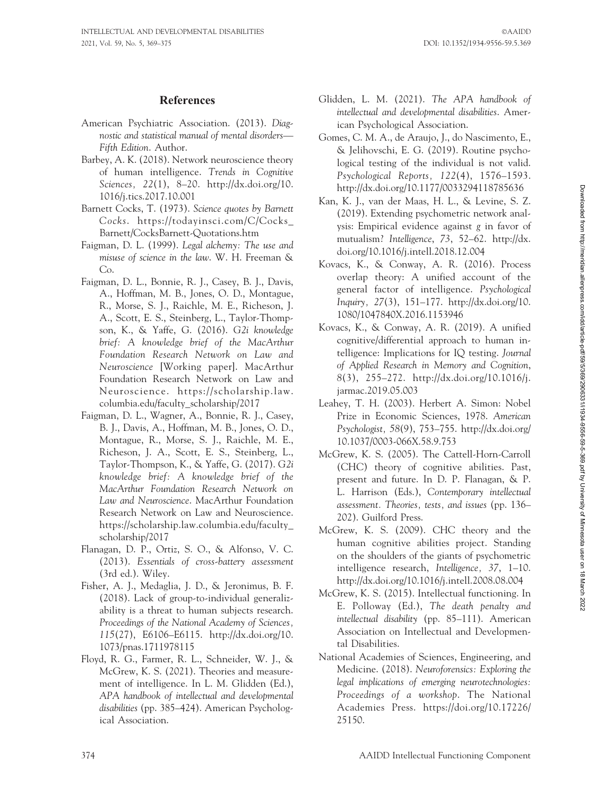### References

- American Psychiatric Association. (2013). Diagnostic and statistical manual of mental disorders— Fifth Edition. Author.
- Barbey, A. K. (2018). Network neuroscience theory of human intelligence. Trends in Cognitive Sciences, 22(1), 8–20. http://dx.doi.org/10. 1016/j.tics.2017.10.001
- Barnett Cocks, T. (1973). Science quotes by Barnett Cocks. https://todayinsci.com/C/Cocks\_ Barnett/CocksBarnett-Quotations.htm
- Faigman, D. L. (1999). Legal alchemy: The use and misuse of science in the law. W. H. Freeman & Co.
- Faigman, D. L., Bonnie, R. J., Casey, B. J., Davis, A., Hoffman, M. B., Jones, O. D., Montague, R., Morse, S. J., Raichle, M. E., Richeson, J. A., Scott, E. S., Steinberg, L., Taylor-Thompson, K., & Yaffe, G. (2016). G2i knowledge brief: A knowledge brief of the MacArthur Foundation Research Network on Law and Neuroscience [Working paper]. MacArthur Foundation Research Network on Law and Neuroscience. https://scholarship.law. columbia.edu/faculty\_scholarship/2017
- Faigman, D. L., Wagner, A., Bonnie, R. J., Casey, B. J., Davis, A., Hoffman, M. B., Jones, O. D., Montague, R., Morse, S. J., Raichle, M. E., Richeson, J. A., Scott, E. S., Steinberg, L., Taylor-Thompson, K., & Yaffe, G. (2017). G2i knowledge brief: A knowledge brief of the MacArthur Foundation Research Network on Law and Neuroscience. MacArthur Foundation Research Network on Law and Neuroscience. https://scholarship.law.columbia.edu/faculty\_ scholarship/2017
- Flanagan, D. P., Ortiz, S. O., & Alfonso, V. C. (2013). Essentials of cross-battery assessment (3rd ed.). Wiley.
- Fisher, A. J., Medaglia, J. D., & Jeronimus, B. F. (2018). Lack of group-to-individual generalizability is a threat to human subjects research. Proceedings of the National Academy of Sciences, 115(27), E6106–E6115. http://dx.doi.org/10. 1073/pnas.1711978115
- Floyd, R. G., Farmer, R. L., Schneider, W. J., & McGrew, K. S. (2021). Theories and measurement of intelligence. In L. M. Glidden (Ed.), APA handbook of intellectual and developmental disabilities (pp. 385–424). American Psychological Association.
- Glidden, L. M. (2021). The APA handbook of intellectual and developmental disabilities. American Psychological Association.
- Gomes, C. M. A., de Araujo, J., do Nascimento, E., & Jelihovschi, E. G. (2019). Routine psychological testing of the individual is not valid. Psychological Reports, 122(4), 1576–1593. http://dx.doi.org/10.1177/0033294118785636
- Kan, K. J., van der Maas, H. L., & Levine, S. Z. (2019). Extending psychometric network analysis: Empirical evidence against g in favor of mutualism? Intelligence, 73, 52–62. http://dx. doi.org/10.1016/j.intell.2018.12.004
- Kovacs, K., & Conway, A. R. (2016). Process overlap theory: A unified account of the general factor of intelligence. Psychological Inquiry, 27(3), 151–177. http://dx.doi.org/10. 1080/1047840X.2016.1153946
- Kovacs, K., & Conway, A. R. (2019). A unified cognitive/differential approach to human intelligence: Implications for IQ testing. Journal of Applied Research in Memory and Cognition, 8(3), 255–272. http://dx.doi.org/10.1016/j. jarmac.2019.05.003
- Leahey, T. H. (2003). Herbert A. Simon: Nobel Prize in Economic Sciences, 1978. American Psychologist, 58(9), 753–755. http://dx.doi.org/ 10.1037/0003-066X.58.9.753
- McGrew, K. S. (2005). The Cattell-Horn-Carroll (CHC) theory of cognitive abilities. Past, present and future. In D. P. Flanagan, & P. L. Harrison (Eds.), Contemporary intellectual assessment. Theories, tests, and issues (pp. 136– 202). Guilford Press.
- McGrew, K. S. (2009). CHC theory and the human cognitive abilities project. Standing on the shoulders of the giants of psychometric intelligence research, Intelligence, 37, 1–10. http://dx.doi.org/10.1016/j.intell.2008.08.004
- McGrew, K. S. (2015). Intellectual functioning. In E. Polloway (Ed.), The death penalty and intellectual disability (pp. 85–111). American Association on Intellectual and Developmental Disabilities.
- National Academies of Sciences, Engineering, and Medicine. (2018). Neuroforensics: Exploring the legal implications of emerging neurotechnologies: Proceedings of a workshop. The National Academies Press. https://doi.org/10.17226/ 25150.